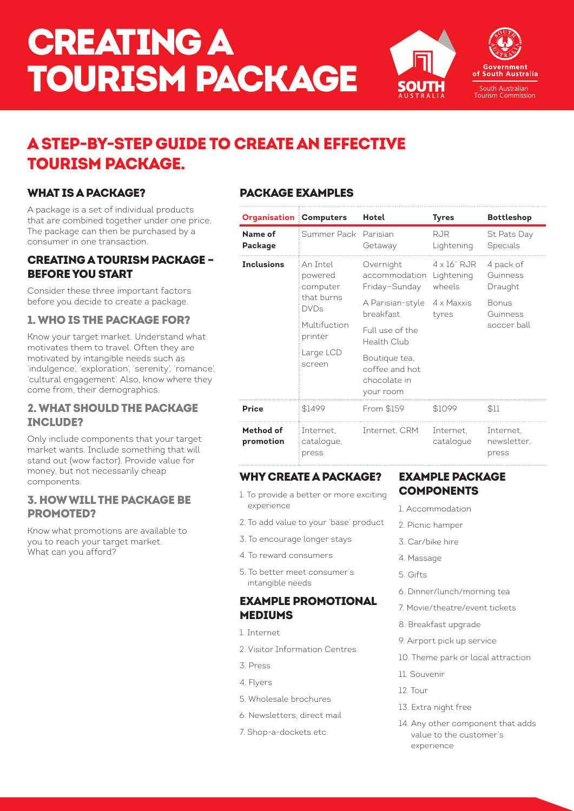# CREATING A TOURISM PACKAGE



## A STEP-BY-STEP GUIDE TO CREATE AN EFFECTIVE TOURISM PACKAGE.

#### WHAT IS A PACKAGE?

A package is a set of individual products that are combined together under one price. The package can then be purchased by a consumer in one transaction.

#### CREATING A TOURISM PACKAGE – BEFORE YOU START

Consider these three important factors before you decide to create a package.

#### 1. WHO IS THE PACKAGE FOR?

Know your target market. Understand what motivates them to travel. Often they are motivated by intangible needs such as 'indulgence', 'exploration', 'serenity', 'romance', 'cultural engagement'. Also, know where they come from, their demographics.

#### 2. WHAT SHOULD THE PACKAGE INCLUDE?

Only include components that your target market wants. Include something that will stand out (wow factor). Provide value for money, but not necessarily cheap components.

#### 3. HOW WILL THE PACKAGE BE PROMOTED?

Know what promotions are available to you to reach your target market. What can you afford?

### PACKAGE EXAMPLES

| <b>Organisation Computers</b> |                                  | Hotel                                                         | <b>Tyres</b>             | <b>Bottleshop</b>                 |  |
|-------------------------------|----------------------------------|---------------------------------------------------------------|--------------------------|-----------------------------------|--|
| Name of<br>Package            | Summer Pack                      | Parisian<br>Getaway                                           | <b>RJR</b><br>Lightening | St Pats Day<br>Specials           |  |
| <b>Inclusions</b>             | An Intel<br>powered<br>computer  | Overnight<br>accommodation Lightening<br>Friday-Sunday        | 4 x 16" RJR<br>wheels    | 4 pack of<br>Guinness<br>Draught  |  |
|                               | that burns<br><b>DVDs</b>        | A Parisian-style<br>breakfast                                 | 4 x Maxxis<br>tyres      | Bonus<br>Guinness<br>soccer ball  |  |
|                               | Multifuction<br>printer          | Full use of the<br>Health Club                                |                          |                                   |  |
|                               | Large LCD<br>screen              | Boutique tea,<br>coffee and hot.<br>chocolate in<br>your room |                          |                                   |  |
| Price                         | \$1499                           | From \$159                                                    | \$1099                   | \$11                              |  |
| Method of<br>promotion        | Internet.<br>cataloque,<br>press | Internet. CRM                                                 | Internet.<br>cataloque   | Internet.<br>newsletter.<br>press |  |

#### WHY CREATE A PACKAGE?

- 1. To provide a better or more exciting experience
- 2. To add value to your 'base' product
- 3. To encourage longer stays
- 4. To reward consumers
- 5. To better meet consumer's intangible needs

#### EXAMPLE PROMOTIONAL MEDIUMS

- 1. Internet
- 2. Visitor Information Centres
- 3. Press
- 4. Flyers
- 5. Wholesale brochures
- 6. Newsletters, direct mail
- 7. Shop-a-dockets etc.

#### EXAMPLE PACKAGE **COMPONENTS**

- 1. Accommodation
- 2. Picnic hamper
- 3. Car/bike hire
- 4. Massage
- 5. Gifts
- 6. Dinner/lunch/morning tea
- 7. Movie/theatre/event tickets
- 8. Breakfast upgrade
- 9. Airport pick up service
- 10. Theme park or local attraction
- 11. Souvenir
- 12. Tour
- 13. Extra night free
- 14. Any other component that adds value to the customer's experience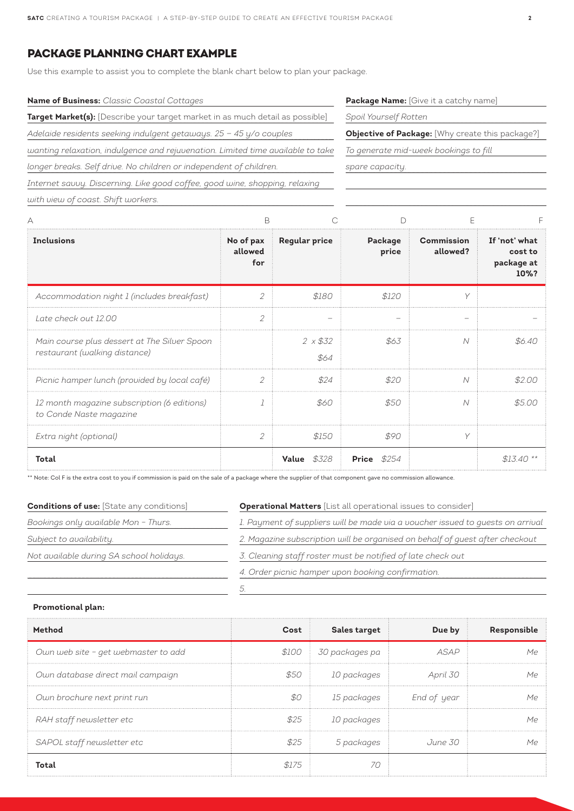#### PACKAGE PLANNING CHART EXAMPLE

Use this example to assist you to complete the blank chart below to plan your package.

| <b>Name of Business:</b> Classic Coastal Cottages                               |
|---------------------------------------------------------------------------------|
| Target Market(s): [Describe your target market in as much detail as possible]   |
| Adelaide residents seeking indulgent getaways. $25 - 45$ y/o couples            |
| wanting relaxation, indulgence and rejuvenation. Limited time available to take |
| longer breaks. Self drive. No children or independent of children.              |
| Internet sauuy. Discerning. Like good coffee, good wine, shopping, relaxing     |
| with view of coast. Shift workers.                                              |

**Package Name:** [Give it a catchy name]

*Spoil Yourself Rotten*

**Objective of Package:** [Why create this package?]

*To generate mid-week bookings to fill* 

*spare capacity.*

| <b>Inclusions</b>                                                             | No of pax<br>allowed<br>for | <b>Regular price</b>   | Package<br>price    | <b>Commission</b><br>allowed? | If 'not' what<br>cost to<br>package at<br>10%? |
|-------------------------------------------------------------------------------|-----------------------------|------------------------|---------------------|-------------------------------|------------------------------------------------|
| Accommodation night 1 (includes breakfast)                                    | 2                           | \$180                  | \$120               | V                             |                                                |
| Late check out 12.00                                                          | 2                           |                        |                     |                               |                                                |
| Main course plus dessert at The Silver Spoon<br>restaurant (walking distance) |                             | $2 \times $32$<br>\$64 | - \$63              | $\overline{\mathcal{N}}$      | \$6.40                                         |
| Picnic hamper lunch (provided by local café)                                  | 2                           | \$24                   | \$20                | $\overline{N}$                | \$2.00                                         |
| 12 month magazine subscription (6 editions)<br>to Conde Naste magazine        |                             | \$60                   | \$50                | $\overline{\mathcal{N}}$      | \$5.00                                         |
| Extra night (optional)                                                        | $\mathcal{P}$               | \$150                  | \$90                | Y                             |                                                |
| Total                                                                         |                             | <b>Value</b> \$328     | <b>Price</b> $$254$ |                               | $$1.340**$                                     |

\*\* Note: Col F is the extra cost to you if commission is paid on the sale of a package where the supplier of that component gave no commission allowance.

| <b>Conditions of use: [State any conditions]</b> | <b>Operational Matters</b> [List all operational issues to consider]           |  |  |  |
|--------------------------------------------------|--------------------------------------------------------------------------------|--|--|--|
| Bookings only available Mon - Thurs.             | 1. Payment of suppliers will be made via a voucher issued to guests on arrival |  |  |  |
| Subject to availability.                         | 2. Magazine subscription will be organised on behalf of guest after checkout   |  |  |  |
| Not available during SA school holidays.         | 3. Cleaning staff roster must be notified of late check out                    |  |  |  |
|                                                  | 4. Order picnic hamper upon booking confirmation.                              |  |  |  |
|                                                  |                                                                                |  |  |  |

#### **Promotional plan:**

| Method                              | Cost  | Sales target           | Due by                  | Responsible |
|-------------------------------------|-------|------------------------|-------------------------|-------------|
| Own web site - get webmaster to add |       | \$100   30 packages pa | <b>ASAP</b>             | Mρ          |
| Own database direct mail campaign   | \$50  | 10 packages            | April 30                | Mο          |
| Own brochure next print run         | \$0   |                        | 15 packages End of year | Mo          |
| RAH staff newsletter etc            | \$25  | 10 packages            |                         | Mρ          |
| SAPOL staff newsletter etc          |       | 5 packages             | June 30                 | Mρ          |
| Total                               | \$175 |                        |                         |             |